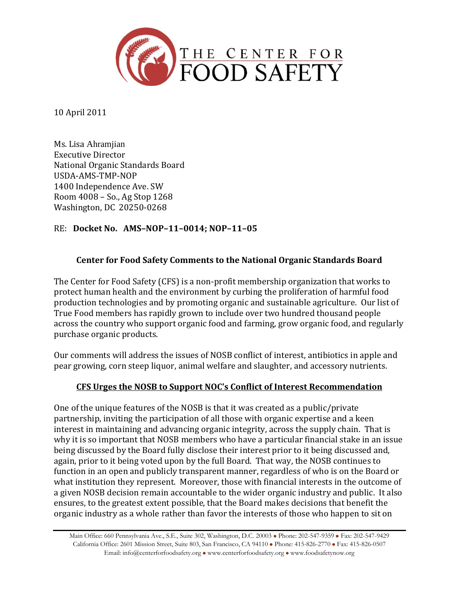

10 April 2011

Ms. Lisa Ahramjian Executive Director National Organic Standards Board USDA-AMS-TMP-NOP 1400 Independence Ave. SW Room 4008 – So., Ag Stop 1268 Washington, DC 20250-0268

## RE: **Docket No. AMS–NOP–11–0014; NOP–11–05**

## **Center for Food Safety Comments to the National Organic Standards Board**

The Center for Food Safety (CFS) is a non-profit membership organization that works to protect human health and the environment by curbing the proliferation of harmful food production technologies and by promoting organic and sustainable agriculture. Our list of True Food members has rapidly grown to include over two hundred thousand people across the country who support organic food and farming, grow organic food, and regularly purchase organic products.

Our comments will address the issues of NOSB conflict of interest, antibiotics in apple and pear growing, corn steep liquor, animal welfare and slaughter, and accessory nutrients.

#### **CFS Urges the NOSB to Support NOC's Conflict of Interest Recommendation**

One of the unique features of the NOSB is that it was created as a public/private partnership, inviting the participation of all those with organic expertise and a keen interest in maintaining and advancing organic integrity, across the supply chain. That is why it is so important that NOSB members who have a particular financial stake in an issue being discussed by the Board fully disclose their interest prior to it being discussed and, again, prior to it being voted upon by the full Board. That way, the NOSB continues to function in an open and publicly transparent manner, regardless of who is on the Board or what institution they represent. Moreover, those with financial interests in the outcome of a given NOSB decision remain accountable to the wider organic industry and public. It also ensures, to the greatest extent possible, that the Board makes decisions that benefit the organic industry as a whole rather than favor the interests of those who happen to sit on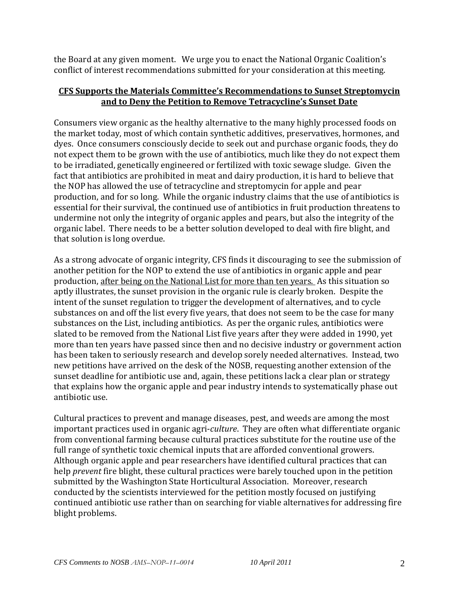the Board at any given moment. We urge you to enact the National Organic Coalition's conflict of interest recommendations submitted for your consideration at this meeting.

#### **CFS Supports the Materials Committee's Recommendations to Sunset Streptomycin and to Deny the Petition to Remove Tetracycline's Sunset Date**

Consumers view organic as the healthy alternative to the many highly processed foods on the market today, most of which contain synthetic additives, preservatives, hormones, and dyes. Once consumers consciously decide to seek out and purchase organic foods, they do not expect them to be grown with the use of antibiotics, much like they do not expect them to be irradiated, genetically engineered or fertilized with toxic sewage sludge. Given the fact that antibiotics are prohibited in meat and dairy production, it is hard to believe that the NOP has allowed the use of tetracycline and streptomycin for apple and pear production, and for so long. While the organic industry claims that the use of antibiotics is essential for their survival, the continued use of antibiotics in fruit production threatens to undermine not only the integrity of organic apples and pears, but also the integrity of the organic label. There needs to be a better solution developed to deal with fire blight, and that solution is long overdue.

As a strong advocate of organic integrity, CFS finds it discouraging to see the submission of another petition for the NOP to extend the use of antibiotics in organic apple and pear production, after being on the National List for more than ten years. As this situation so aptly illustrates, the sunset provision in the organic rule is clearly broken. Despite the intent of the sunset regulation to trigger the development of alternatives, and to cycle substances on and off the list every five years, that does not seem to be the case for many substances on the List, including antibiotics. As per the organic rules, antibiotics were slated to be removed from the National List five years after they were added in 1990, yet more than ten years have passed since then and no decisive industry or government action has been taken to seriously research and develop sorely needed alternatives. Instead, two new petitions have arrived on the desk of the NOSB, requesting another extension of the sunset deadline for antibiotic use and, again, these petitions lack a clear plan or strategy that explains how the organic apple and pear industry intends to systematically phase out antibiotic use.

Cultural practices to prevent and manage diseases, pest, and weeds are among the most important practices used in organic agri-*culture*. They are often what differentiate organic from conventional farming because cultural practices substitute for the routine use of the full range of synthetic toxic chemical inputs that are afforded conventional growers. Although organic apple and pear researchers have identified cultural practices that can help *prevent* fire blight, these cultural practices were barely touched upon in the petition submitted by the Washington State Horticultural Association. Moreover, research conducted by the scientists interviewed for the petition mostly focused on justifying continued antibiotic use rather than on searching for viable alternatives for addressing fire blight problems.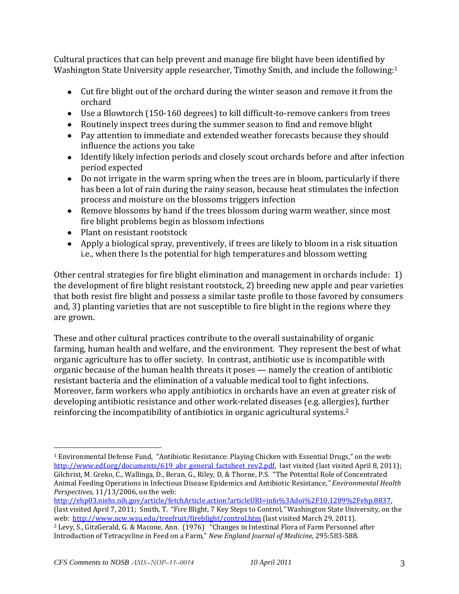Cultural practices that can help prevent and manage fire blight have been identified by Washington State University apple researcher, Timothy Smith, and include the following:<sup>1</sup>

- Cut fire blight out of the orchard during the winter season and remove it from the orchard
- Use a Blowtorch (150-160 degrees) to kill difficult-to-remove cankers from trees
- Routinely inspect trees during the summer season to find and remove blight
- Pay attention to immediate and extended weather forecasts because they should influence the actions you take
- Identify likely infection periods and closely scout orchards before and after infection period expected
- Do not irrigate in the warm spring when the trees are in bloom, particularly if there has been a lot of rain during the rainy season, because heat stimulates the infection process and moisture on the blossoms triggers infection
- Remove blossoms by hand if the trees blossom during warm weather, since most fire blight problems begin as blossom infections
- Plant on resistant rootstock
- Apply a biological spray, preventively, if trees are likely to bloom in a risk situation i.e., when there Is the potential for high temperatures and blossom wetting

Other central strategies for fire blight elimination and management in orchards include: 1) the development of fire blight resistant rootstock, 2) breeding new apple and pear varieties that both resist fire blight and possess a similar taste profile to those favored by consumers and, 3) planting varieties that are not susceptible to fire blight in the regions where they are grown.

These and other cultural practices contribute to the overall sustainability of organic farming, human health and welfare, and the environment. They represent the best of what organic agriculture has to offer society. In contrast, antibiotic use is incompatible with organic because of the human health threats it poses — namely the creation of antibiotic resistant bacteria and the elimination of a valuable medical tool to fight infections. Moreover, farm workers who apply antibiotics in orchards have an even at greater risk of developing antibiotic resistance and other work-related diseases (e.g. allergies), further reinforcing the incompatibility of antibiotics in organic agricultural systems. 2

 $\overline{a}$ <sup>1</sup> Environmental Defense Fund, "Antibiotic Resistance: Playing Chicken with Essential Drugs," on the web: [http://www.edf.org/documents/619\\_abr\\_general\\_factsheet\\_rev2.pdf,](http://www.edf.org/documents/619_abr_general_factsheet_rev2.pdf) last visited (last visited April 8, 2011); Gilchrist, M. Greko, C., Wallinga, D., Beran, G., Riley, D, & Thorne, P.S. "The Potential Role of Concentrated Animal Feeding Operations in Infectious Disease Epidemics and Antibiotic Resistance*," Environmental Health Perspectives,* 11/13/2006, on the web:

[http://ehp03.niehs.nih.gov/article/fetchArticle.action?articleURI=info%3Adoi%2F10.1289%2Fehp.8837,](http://ehp03.niehs.nih.gov/article/fetchArticle.action?articleURI=info%3Adoi%2F10.1289%2Fehp.8837)  (last visited April 7, 2011; Smith, T. "Fire Blight, 7 Key Steps to Control*,"* Washington State University, on the web: <http://www.ncw.wsu.edu/treefruit/fireblight/control.htm> (last visited March 29, 2011).

<sup>2</sup> Levy, S., GitzGerald, G. & Macone, Ann. (1976) "Changes in Intestinal Flora of Farm Personnel after Introduction of Tetracycline in Feed on a Farm," *New England Journal of Medicine,* 295:583-588.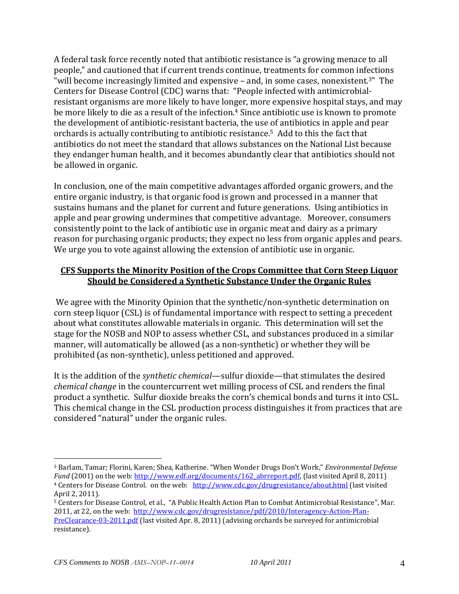A federal task force recently noted that antibiotic resistance is "a growing menace to all people," and cautioned that if current trends continue, treatments for common infections "will become increasingly limited and expensive – and, in some cases, nonexistent.3" The Centers for Disease Control (CDC) warns that: "People infected with antimicrobialresistant organisms are more likely to have longer, more expensive hospital stays, and may be more likely to die as a result of the infection.<sup>4</sup> Since antibiotic use is known to promote the development of antibiotic-resistant bacteria, the use of antibiotics in apple and pear orchards is actually contributing to antibiotic resistance.5 Add to this the fact that antibiotics do not meet the standard that allows substances on the National List because they endanger human health, and it becomes abundantly clear that antibiotics should not be allowed in organic.

In conclusion, one of the main competitive advantages afforded organic growers, and the entire organic industry, is that organic food is grown and processed in a manner that sustains humans and the planet for current and future generations. Using antibiotics in apple and pear growing undermines that competitive advantage. Moreover, consumers consistently point to the lack of antibiotic use in organic meat and dairy as a primary reason for purchasing organic products; they expect no less from organic apples and pears. We urge you to vote against allowing the extension of antibiotic use in organic.

#### **CFS Supports the Minority Position of the Crops Committee that Corn Steep Liquor Should be Considered a Synthetic Substance Under the Organic Rules**

We agree with the Minority Opinion that the synthetic/non-synthetic determination on corn steep liquor (CSL) is of fundamental importance with respect to setting a precedent about what constitutes allowable materials in organic. This determination will set the stage for the NOSB and NOP to assess whether CSL, and substances produced in a similar manner, will automatically be allowed (as a non-synthetic) or whether they will be prohibited (as non-synthetic), unless petitioned and approved.

It is the addition of the *synthetic chemical*—sulfur dioxide—that stimulates the desired *chemical change* in the countercurrent wet milling process of CSL and renders the final product a synthetic. Sulfur dioxide breaks the corn's chemical bonds and turns it into CSL. This chemical change in the CSL production process distinguishes it from practices that are considered "natural" under the organic rules.

 $\overline{a}$ <sup>3</sup> Barlam, Tamar; Florini, Karen; Shea, Katherine. "When Wonder Drugs Don't Work," *Environmental Defense Fund* (2001) on the web[: http://www.edf.org/documents/162\\_abrreport.pdf,](http://www.edf.org/documents/162_abrreport.pdf) (last visited April 8, 2011) <sup>4</sup> Centers for Disease Control. on the web: <http://www.cdc.gov/drugresistance/about.html> (last visited April 2, 2011).

<sup>5</sup> Centers for Disease Control, et al., "A Public Health Action Plan to Combat Antimicrobial Resistance", Mar. 2011, at 22, on the web: [http://www.cdc.gov/drugresistance/pdf/2010/Interagency-Action-Plan-](http://www.cdc.gov/drugresistance/pdf/2010/Interagency-Action-Plan-PreClearance-03-2011.pdf)[PreClearance-03-2011.pdf](http://www.cdc.gov/drugresistance/pdf/2010/Interagency-Action-Plan-PreClearance-03-2011.pdf) (last visited Apr. 8, 2011) (advising orchards be surveyed for antimicrobial resistance).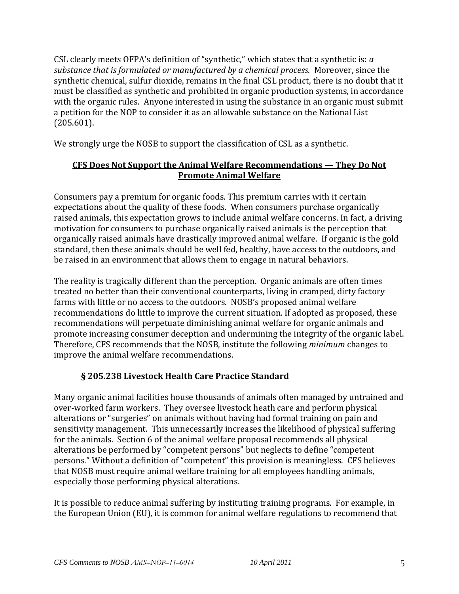CSL clearly meets OFPA's definition of "synthetic," which states that a synthetic is: *a substance that is formulated or manufactured by a chemical process.* Moreover, since the synthetic chemical, sulfur dioxide, remains in the final CSL product, there is no doubt that it must be classified as synthetic and prohibited in organic production systems, in accordance with the organic rules. Anyone interested in using the substance in an organic must submit a petition for the NOP to consider it as an allowable substance on the National List (205.601).

We strongly urge the NOSB to support the classification of CSL as a synthetic.

#### **CFS Does Not Support the Animal Welfare Recommendations — They Do Not Promote Animal Welfare**

Consumers pay a premium for organic foods. This premium carries with it certain expectations about the quality of these foods. When consumers purchase organically raised animals, this expectation grows to include animal welfare concerns. In fact, a driving motivation for consumers to purchase organically raised animals is the perception that organically raised animals have drastically improved animal welfare. If organic is the gold standard, then these animals should be well fed, healthy, have access to the outdoors, and be raised in an environment that allows them to engage in natural behaviors.

The reality is tragically different than the perception. Organic animals are often times treated no better than their conventional counterparts, living in cramped, dirty factory farms with little or no access to the outdoors. NOSB's proposed animal welfare recommendations do little to improve the current situation. If adopted as proposed, these recommendations will perpetuate diminishing animal welfare for organic animals and promote increasing consumer deception and undermining the integrity of the organic label. Therefore, CFS recommends that the NOSB, institute the following *minimum* changes to improve the animal welfare recommendations.

# **§ 205.238 Livestock Health Care Practice Standard**

Many organic animal facilities house thousands of animals often managed by untrained and over-worked farm workers. They oversee livestock heath care and perform physical alterations or "surgeries" on animals without having had formal training on pain and sensitivity management. This unnecessarily increases the likelihood of physical suffering for the animals. Section 6 of the animal welfare proposal recommends all physical alterations be performed by "competent persons" but neglects to define "competent persons." Without a definition of "competent" this provision is meaningless. CFS believes that NOSB must require animal welfare training for all employees handling animals, especially those performing physical alterations.

It is possible to reduce animal suffering by instituting training programs. For example, in the European Union (EU), it is common for animal welfare regulations to recommend that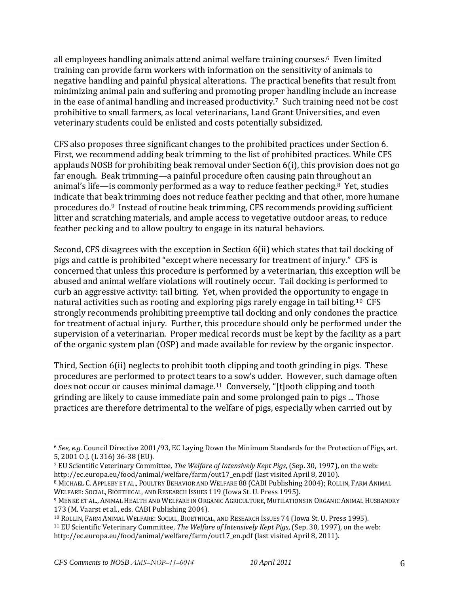all employees handling animals attend animal welfare training courses.6 Even limited training can provide farm workers with information on the sensitivity of animals to negative handling and painful physical alterations. The practical benefits that result from minimizing animal pain and suffering and promoting proper handling include an increase in the ease of animal handling and increased productivity.7 Such training need not be cost prohibitive to small farmers, as local veterinarians, Land Grant Universities, and even veterinary students could be enlisted and costs potentially subsidized.

CFS also proposes three significant changes to the prohibited practices under Section 6. First, we recommend adding beak trimming to the list of prohibited practices. While CFS applauds NOSB for prohibiting beak removal under Section 6(i), this provision does not go far enough. Beak trimming—a painful procedure often causing pain throughout an animal's life—is commonly performed as a way to reduce feather pecking.8 Yet, studies indicate that beak trimming does not reduce feather pecking and that other, more humane procedures do.9 Instead of routine beak trimming, CFS recommends providing sufficient litter and scratching materials, and ample access to vegetative outdoor areas, to reduce feather pecking and to allow poultry to engage in its natural behaviors.

Second, CFS disagrees with the exception in Section 6(ii) which states that tail docking of pigs and cattle is prohibited "except where necessary for treatment of injury." CFS is concerned that unless this procedure is performed by a veterinarian, this exception will be abused and animal welfare violations will routinely occur. Tail docking is performed to curb an aggressive activity: tail biting. Yet, when provided the opportunity to engage in natural activities such as rooting and exploring pigs rarely engage in tail biting.10 CFS strongly recommends prohibiting preemptive tail docking and only condones the practice for treatment of actual injury. Further, this procedure should only be performed under the supervision of a veterinarian. Proper medical records must be kept by the facility as a part of the organic system plan (OSP) and made available for review by the organic inspector.

Third, Section 6(ii) neglects to prohibit tooth clipping and tooth grinding in pigs. These procedures are performed to protect tears to a sow's udder. However, such damage often does not occur or causes minimal damage.<sup>11</sup> Conversely, "[t]ooth clipping and tooth grinding are likely to cause immediate pain and some prolonged pain to pigs ... Those practices are therefore detrimental to the welfare of pigs, especially when carried out by

<sup>6</sup> *See, e.g.* Council Directive 2001/93, EC Laying Down the Minimum Standards for the Protection of Pigs, art. 5, 2001 O.J. (L 316) 36-38 (EU).

<sup>7</sup> EU Scientific Veterinary Committee, *The Welfare of Intensively Kept Pigs*, (Sep. 30, 1997), on the web: http://ec.europa.eu/food/animal/welfare/farm/out17\_en.pdf (last visited April 8, 2010).

<sup>8</sup> MICHAEL C. APPLEBY ET AL., POULTRY BEHAVIOR AND WELFARE 88 (CABI Publishing 2004); ROLLIN, FARM ANIMAL WELFARE: SOCIAL, BIOETHICAL, AND RESEARCH ISSUES 119 (Iowa St. U. Press 1995).

<sup>9</sup> MENKE ET AL., ANIMAL HEALTH AND WELFARE IN ORGANIC AGRICULTURE, MUTILATIONS IN ORGANIC ANIMAL HUSBANDRY 173 (M. Vaarst et al., eds. CABI Publishing 2004).

<sup>10</sup> ROLLIN, FARM ANIMAL WELFARE: SOCIAL, BIOETHICAL, AND RESEARCH ISSUES 74 (Iowa St. U. Press 1995).

<sup>11</sup> EU Scientific Veterinary Committee, *The Welfare of Intensively Kept Pigs*, (Sep. 30, 1997), on the web: http://ec.europa.eu/food/animal/welfare/farm/out17\_en.pdf (last visited April 8, 2011).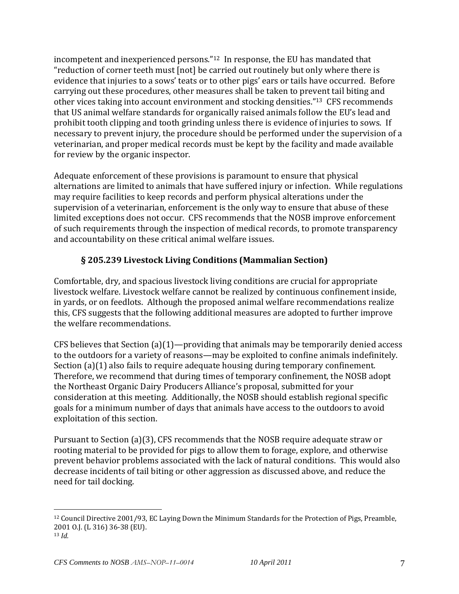incompetent and inexperienced persons."12 In response, the EU has mandated that "reduction of corner teeth must [not] be carried out routinely but only where there is evidence that injuries to a sows' teats or to other pigs' ears or tails have occurred. Before carrying out these procedures, other measures shall be taken to prevent tail biting and other vices taking into account environment and stocking densities."13 CFS recommends that US animal welfare standards for organically raised animals follow the EU's lead and prohibit tooth clipping and tooth grinding unless there is evidence of injuries to sows. If necessary to prevent injury, the procedure should be performed under the supervision of a veterinarian, and proper medical records must be kept by the facility and made available for review by the organic inspector.

Adequate enforcement of these provisions is paramount to ensure that physical alternations are limited to animals that have suffered injury or infection. While regulations may require facilities to keep records and perform physical alterations under the supervision of a veterinarian, enforcement is the only way to ensure that abuse of these limited exceptions does not occur. CFS recommends that the NOSB improve enforcement of such requirements through the inspection of medical records, to promote transparency and accountability on these critical animal welfare issues.

## **§ 205.239 Livestock Living Conditions (Mammalian Section)**

Comfortable, dry, and spacious livestock living conditions are crucial for appropriate livestock welfare. Livestock welfare cannot be realized by continuous confinement inside, in yards, or on feedlots. Although the proposed animal welfare recommendations realize this, CFS suggests that the following additional measures are adopted to further improve the welfare recommendations.

CFS believes that Section (a)(1)—providing that animals may be temporarily denied access to the outdoors for a variety of reasons—may be exploited to confine animals indefinitely. Section (a)(1) also fails to require adequate housing during temporary confinement. Therefore, we recommend that during times of temporary confinement, the NOSB adopt the Northeast Organic Dairy Producers Alliance's proposal, submitted for your consideration at this meeting. Additionally, the NOSB should establish regional specific goals for a minimum number of days that animals have access to the outdoors to avoid exploitation of this section.

Pursuant to Section (a)(3), CFS recommends that the NOSB require adequate straw or rooting material to be provided for pigs to allow them to forage, explore, and otherwise prevent behavior problems associated with the lack of natural conditions. This would also decrease incidents of tail biting or other aggression as discussed above, and reduce the need for tail docking.

<sup>12</sup> Council Directive 2001/93, EC Laying Down the Minimum Standards for the Protection of Pigs, Preamble, 2001 O.J. (L 316) 36-38 (EU).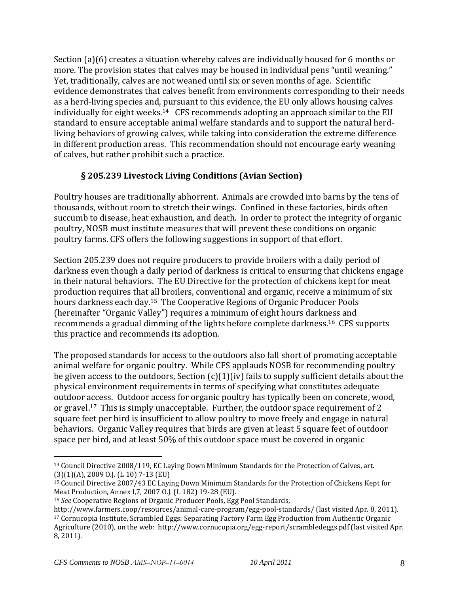Section (a)(6) creates a situation whereby calves are individually housed for 6 months or more. The provision states that calves may be housed in individual pens "until weaning." Yet, traditionally, calves are not weaned until six or seven months of age. Scientific evidence demonstrates that calves benefit from environments corresponding to their needs as a herd-living species and, pursuant to this evidence, the EU only allows housing calves individually for eight weeks.14 CFS recommends adopting an approach similar to the EU standard to ensure acceptable animal welfare standards and to support the natural herdliving behaviors of growing calves, while taking into consideration the extreme difference in different production areas. This recommendation should not encourage early weaning of calves, but rather prohibit such a practice.

## **§ 205.239 Livestock Living Conditions (Avian Section)**

Poultry houses are traditionally abhorrent. Animals are crowded into barns by the tens of thousands, without room to stretch their wings. Confined in these factories, birds often succumb to disease, heat exhaustion, and death. In order to protect the integrity of organic poultry, NOSB must institute measures that will prevent these conditions on organic poultry farms. CFS offers the following suggestions in support of that effort.

Section 205.239 does not require producers to provide broilers with a daily period of darkness even though a daily period of darkness is critical to ensuring that chickens engage in their natural behaviors. The EU Directive for the protection of chickens kept for meat production requires that all broilers, conventional and organic, receive a minimum of six hours darkness each day.15 The Cooperative Regions of Organic Producer Pools (hereinafter "Organic Valley") requires a minimum of eight hours darkness and recommends a gradual dimming of the lights before complete darkness.16 CFS supports this practice and recommends its adoption.

The proposed standards for access to the outdoors also fall short of promoting acceptable animal welfare for organic poultry. While CFS applauds NOSB for recommending poultry be given access to the outdoors, Section  $(c)(1)(iv)$  fails to supply sufficient details about the physical environment requirements in terms of specifying what constitutes adequate outdoor access. Outdoor access for organic poultry has typically been on concrete, wood, or gravel.17 This is simply unacceptable. Further, the outdoor space requirement of 2 square feet per bird is insufficient to allow poultry to move freely and engage in natural behaviors. Organic Valley requires that birds are given at least 5 square feet of outdoor space per bird, and at least 50% of this outdoor space must be covered in organic

<sup>14</sup> Council Directive 2008/119, EC Laying Down Minimum Standards for the Protection of Calves, art. (3)(1)(A), 2009 O.J. (L 10) 7-13 (EU)

<sup>15</sup> Council Directive 2007/43 EC Laying Down Minimum Standards for the Protection of Chickens Kept for Meat Production, Annex I,7, 2007 O.J. (L 182) 19-28 (EU).

<sup>16</sup> *See* Cooperative Regions of Organic Producer Pools, Egg Pool Standards,

http://www.farmers.coop/resources/animal-care-program/egg-pool-standards/ (last visited Apr. 8, 2011). <sup>17</sup> Cornucopia Institute, Scrambled Eggs: Separating Factory Farm Egg Production from Authentic Organic Agriculture (2010), on the web: http://www.cornucopia.org/egg-report/scrambledeggs.pdf (last visited Apr. 8, 2011).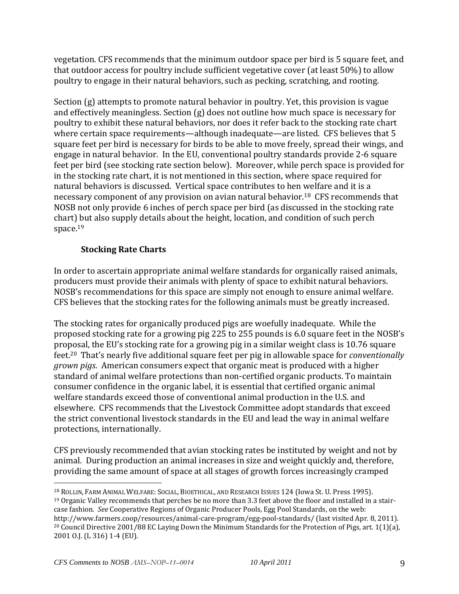vegetation. CFS recommends that the minimum outdoor space per bird is 5 square feet, and that outdoor access for poultry include sufficient vegetative cover (at least 50%) to allow poultry to engage in their natural behaviors, such as pecking, scratching, and rooting.

Section (g) attempts to promote natural behavior in poultry. Yet, this provision is vague and effectively meaningless. Section (g) does not outline how much space is necessary for poultry to exhibit these natural behaviors, nor does it refer back to the stocking rate chart where certain space requirements—although inadequate—are listed. CFS believes that 5 square feet per bird is necessary for birds to be able to move freely, spread their wings, and engage in natural behavior. In the EU, conventional poultry standards provide 2-6 square feet per bird (see stocking rate section below). Moreover, while perch space is provided for in the stocking rate chart, it is not mentioned in this section, where space required for natural behaviors is discussed. Vertical space contributes to hen welfare and it is a necessary component of any provision on avian natural behavior.18 CFS recommends that NOSB not only provide 6 inches of perch space per bird (as discussed in the stocking rate chart) but also supply details about the height, location, and condition of such perch space.<sup>19</sup>

## **Stocking Rate Charts**

In order to ascertain appropriate animal welfare standards for organically raised animals, producers must provide their animals with plenty of space to exhibit natural behaviors. NOSB's recommendations for this space are simply not enough to ensure animal welfare. CFS believes that the stocking rates for the following animals must be greatly increased.

The stocking rates for organically produced pigs are woefully inadequate. While the proposed stocking rate for a growing pig 225 to 255 pounds is 6.0 square feet in the NOSB's proposal, the EU's stocking rate for a growing pig in a similar weight class is 10.76 square feet.<sup>20</sup> That's nearly five additional square feet per pig in allowable space for *conventionally grown pigs*. American consumers expect that organic meat is produced with a higher standard of animal welfare protections than non-certified organic products. To maintain consumer confidence in the organic label, it is essential that certified organic animal welfare standards exceed those of conventional animal production in the U.S. and elsewhere. CFS recommends that the Livestock Committee adopt standards that exceed the strict conventional livestock standards in the EU and lead the way in animal welfare protections, internationally.

CFS previously recommended that avian stocking rates be instituted by weight and not by animal. During production an animal increases in size and weight quickly and, therefore, providing the same amount of space at all stages of growth forces increasingly cramped

<sup>18</sup> ROLLIN, FARM ANIMAL WELFARE: SOCIAL, BIOETHICAL, AND RESEARCH ISSUES 124 (Iowa St. U. Press 1995). <sup>19</sup> Organic Valley recommends that perches be no more than 3.3 feet above the floor and installed in a staircase fashion. *See* Cooperative Regions of Organic Producer Pools, Egg Pool Standards, on the web: http://www.farmers.coop/resources/animal-care-program/egg-pool-standards/ (last visited Apr. 8, 2011). <sup>20</sup> Council Directive 2001/88 EC Laying Down the Minimum Standards for the Protection of Pigs, art. 1(1)(a), 2001 O.J. (L 316) 1-4 (EU).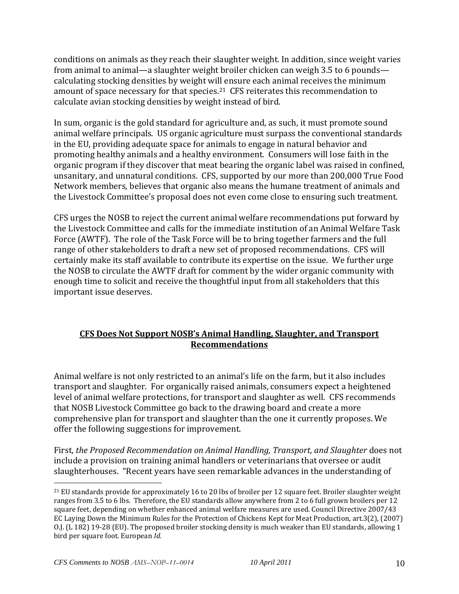conditions on animals as they reach their slaughter weight. In addition, since weight varies from animal to animal—a slaughter weight broiler chicken can weigh 3.5 to 6 pounds calculating stocking densities by weight will ensure each animal receives the minimum amount of space necessary for that species.21 CFS reiterates this recommendation to calculate avian stocking densities by weight instead of bird.

In sum, organic is the gold standard for agriculture and, as such, it must promote sound animal welfare principals. US organic agriculture must surpass the conventional standards in the EU, providing adequate space for animals to engage in natural behavior and promoting healthy animals and a healthy environment. Consumers will lose faith in the organic program if they discover that meat bearing the organic label was raised in confined, unsanitary, and unnatural conditions. CFS, supported by our more than 200,000 True Food Network members, believes that organic also means the humane treatment of animals and the Livestock Committee's proposal does not even come close to ensuring such treatment.

CFS urges the NOSB to reject the current animal welfare recommendations put forward by the Livestock Committee and calls for the immediate institution of an Animal Welfare Task Force (AWTF). The role of the Task Force will be to bring together farmers and the full range of other stakeholders to draft a new set of proposed recommendations. CFS will certainly make its staff available to contribute its expertise on the issue. We further urge the NOSB to circulate the AWTF draft for comment by the wider organic community with enough time to solicit and receive the thoughtful input from all stakeholders that this important issue deserves.

#### **CFS Does Not Support NOSB's Animal Handling, Slaughter, and Transport Recommendations**

Animal welfare is not only restricted to an animal's life on the farm, but it also includes transport and slaughter. For organically raised animals, consumers expect a heightened level of animal welfare protections, for transport and slaughter as well. CFS recommends that NOSB Livestock Committee go back to the drawing board and create a more comprehensive plan for transport and slaughter than the one it currently proposes. We offer the following suggestions for improvement.

First, *the Proposed Recommendation on Animal Handling, Transport, and Slaughter* does not include a provision on training animal handlers or veterinarians that oversee or audit slaughterhouses. "Recent years have seen remarkable advances in the understanding of

<sup>&</sup>lt;sup>21</sup> EU standards provide for approximately 16 to 20 lbs of broiler per 12 square feet. Broiler slaughter weight ranges from 3.5 to 6 lbs. Therefore, the EU standards allow anywhere from 2 to 6 full grown broilers per 12 square feet, depending on whether enhanced animal welfare measures are used. Council Directive 2007/43 EC Laying Down the Minimum Rules for the Protection of Chickens Kept for Meat Production, art.3(2), (2007) O.J. (L 182) 19-28 (EU). The proposed broiler stocking density is much weaker than EU standards, allowing 1 bird per square foot. European *Id.*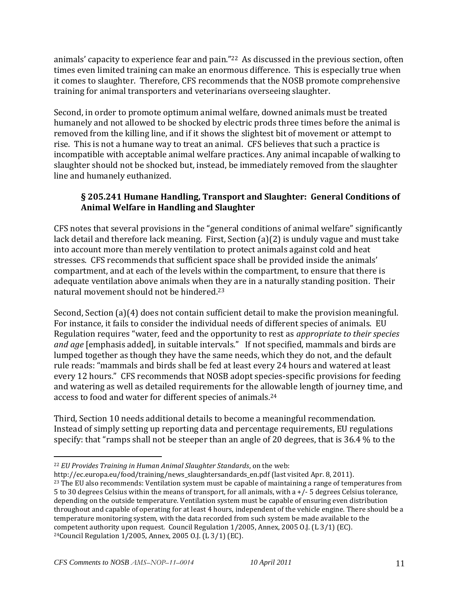animals' capacity to experience fear and pain."22 As discussed in the previous section, often times even limited training can make an enormous difference. This is especially true when it comes to slaughter. Therefore, CFS recommends that the NOSB promote comprehensive training for animal transporters and veterinarians overseeing slaughter.

Second, in order to promote optimum animal welfare, downed animals must be treated humanely and not allowed to be shocked by electric prods three times before the animal is removed from the killing line, and if it shows the slightest bit of movement or attempt to rise. This is not a humane way to treat an animal. CFS believes that such a practice is incompatible with acceptable animal welfare practices. Any animal incapable of walking to slaughter should not be shocked but, instead, be immediately removed from the slaughter line and humanely euthanized.

#### **§ 205.241 Humane Handling, Transport and Slaughter: General Conditions of Animal Welfare in Handling and Slaughter**

CFS notes that several provisions in the "general conditions of animal welfare" significantly lack detail and therefore lack meaning. First, Section (a)(2) is unduly vague and must take into account more than merely ventilation to protect animals against cold and heat stresses. CFS recommends that sufficient space shall be provided inside the animals' compartment, and at each of the levels within the compartment, to ensure that there is adequate ventilation above animals when they are in a naturally standing position. Their natural movement should not be hindered. 23

Second, Section (a)(4) does not contain sufficient detail to make the provision meaningful. For instance, it fails to consider the individual needs of different species of animals. EU Regulation requires "water, feed and the opportunity to rest as *appropriate to their species and age* [emphasis added]*,* in suitable intervals." If not specified, mammals and birds are lumped together as though they have the same needs, which they do not, and the default rule reads: "mammals and birds shall be fed at least every 24 hours and watered at least every 12 hours." CFS recommends that NOSB adopt species-specific provisions for feeding and watering as well as detailed requirements for the allowable length of journey time, and access to food and water for different species of animals.<sup>24</sup>

Third, Section 10 needs additional details to become a meaningful recommendation. Instead of simply setting up reporting data and percentage requirements, EU regulations specify: that "ramps shall not be steeper than an angle of 20 degrees, that is 36.4 % to the

<sup>22</sup> *EU Provides Training in Human Animal Slaughter Standards*, on the web:

http://ec.europa.eu/food/training/news\_slaughtersandards\_en.pdf (last visited Apr. 8, 2011).

<sup>&</sup>lt;sup>23</sup> The EU also recommends: Ventilation system must be capable of maintaining a range of temperatures from 5 to 30 degrees Celsius within the means of transport, for all animals, with a +/- 5 degrees Celsius tolerance, depending on the outside temperature. Ventilation system must be capable of ensuring even distribution throughout and capable of operating for at least 4 hours, independent of the vehicle engine. There should be a temperature monitoring system, with the data recorded from such system be made available to the competent authority upon request. Council Regulation 1/2005, Annex, 2005 O.J. (L 3/1) (EC). 24Council Regulation 1/2005, Annex, 2005 O.J. (L 3/1) (EC).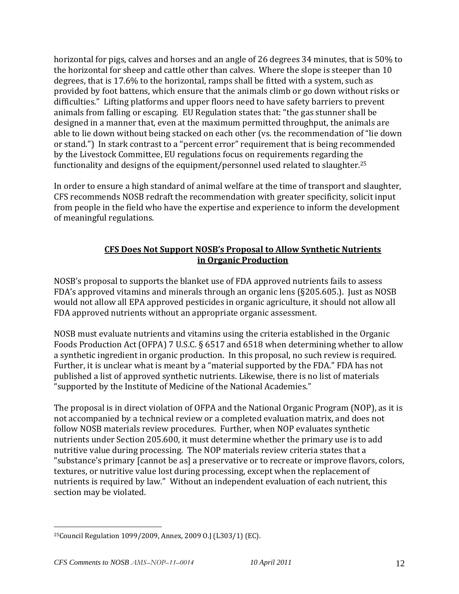horizontal for pigs, calves and horses and an angle of 26 degrees 34 minutes, that is 50% to the horizontal for sheep and cattle other than calves. Where the slope is steeper than 10 degrees, that is 17.6% to the horizontal, ramps shall be fitted with a system, such as provided by foot battens, which ensure that the animals climb or go down without risks or difficulties." Lifting platforms and upper floors need to have safety barriers to prevent animals from falling or escaping. EU Regulation states that: "the gas stunner shall be designed in a manner that, even at the maximum permitted throughput, the animals are able to lie down without being stacked on each other (vs. the recommendation of "lie down or stand.") In stark contrast to a "percent error" requirement that is being recommended by the Livestock Committee, EU regulations focus on requirements regarding the functionality and designs of the equipment/personnel used related to slaughter.<sup>25</sup>

In order to ensure a high standard of animal welfare at the time of transport and slaughter, CFS recommends NOSB redraft the recommendation with greater specificity, solicit input from people in the field who have the expertise and experience to inform the development of meaningful regulations.

### **CFS Does Not Support NOSB's Proposal to Allow Synthetic Nutrients in Organic Production**

NOSB's proposal to supports the blanket use of FDA approved nutrients fails to assess FDA's approved vitamins and minerals through an organic lens (§205.605.). Just as NOSB would not allow all EPA approved pesticides in organic agriculture, it should not allow all FDA approved nutrients without an appropriate organic assessment.

NOSB must evaluate nutrients and vitamins using the criteria established in the Organic Foods Production Act (OFPA) 7 U.S.C. § 6517 and 6518 when determining whether to allow a synthetic ingredient in organic production. In this proposal, no such review is required. Further, it is unclear what is meant by a "material supported by the FDA." FDA has not published a list of approved synthetic nutrients. Likewise, there is no list of materials "supported by the Institute of Medicine of the National Academies."

The proposal is in direct violation of OFPA and the National Organic Program (NOP), as it is not accompanied by a technical review or a completed evaluation matrix, and does not follow NOSB materials review procedures. Further, when NOP evaluates synthetic nutrients under Section 205.600, it must determine whether the primary use is to add nutritive value during processing. The NOP materials review criteria states that a "substance's primary [cannot be as] a preservative or to recreate or improve flavors, colors, textures, or nutritive value lost during processing, except when the replacement of nutrients is required by law." Without an independent evaluation of each nutrient, this section may be violated.

<sup>25</sup>Council Regulation 1099/2009, Annex, 2009 O.J (L303/1) (EC).